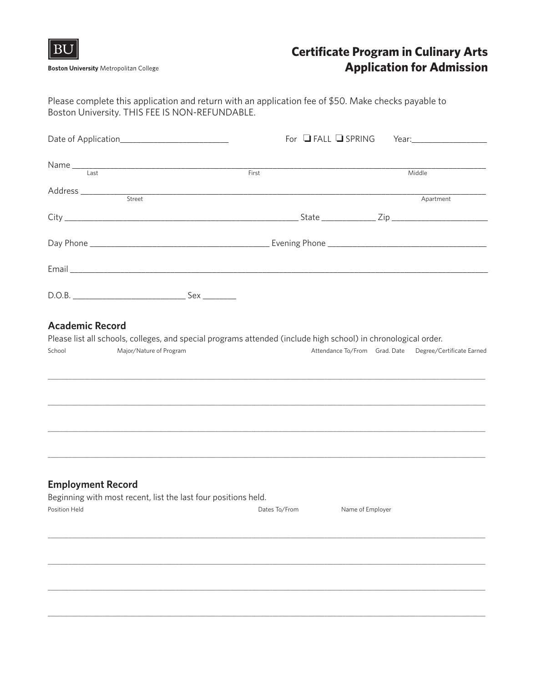

## **Certificate Program in Culinary Arts Application for Admission**

Please complete this application and return with an application fee of \$50. Make checks payable to Boston University. THIS FEE IS NON-REFUNDABLE.

|                                                                                                                                                                                                                                                                                                                                                                                                                                                                                                                                                                                                                                                                             | For $\Box$ FALL $\Box$ SPRING<br>Year:______________________ |  |                  |                                                         |
|-----------------------------------------------------------------------------------------------------------------------------------------------------------------------------------------------------------------------------------------------------------------------------------------------------------------------------------------------------------------------------------------------------------------------------------------------------------------------------------------------------------------------------------------------------------------------------------------------------------------------------------------------------------------------------|--------------------------------------------------------------|--|------------------|---------------------------------------------------------|
| $Name \xrightarrow{\qquad \qquad } \xrightarrow{\qquad \qquad } \xrightarrow{\qquad \qquad } \xrightarrow{\qquad \qquad } \xrightarrow{\qquad \qquad } \xrightarrow{\qquad \qquad } \xrightarrow{\qquad \qquad } \xrightarrow{\qquad \qquad } \xrightarrow{\qquad \qquad } \xrightarrow{\qquad \qquad } \xrightarrow{\qquad \qquad } \xrightarrow{\qquad \qquad } \xrightarrow{\qquad \qquad } \xrightarrow{\qquad \qquad } \xrightarrow{\qquad \qquad } \xrightarrow{\qquad \qquad } \xrightarrow{\qquad \qquad } \xrightarrow{\qquad \qquad } \xrightarrow{\qquad \qquad } \xrightarrow{\qquad \qquad } \xrightarrow{\qquad \qquad } \xrightarrow{\qquad \qquad$<br>First |                                                              |  |                  | Middle                                                  |
|                                                                                                                                                                                                                                                                                                                                                                                                                                                                                                                                                                                                                                                                             |                                                              |  |                  |                                                         |
|                                                                                                                                                                                                                                                                                                                                                                                                                                                                                                                                                                                                                                                                             |                                                              |  |                  | Apartment                                               |
|                                                                                                                                                                                                                                                                                                                                                                                                                                                                                                                                                                                                                                                                             |                                                              |  |                  |                                                         |
|                                                                                                                                                                                                                                                                                                                                                                                                                                                                                                                                                                                                                                                                             |                                                              |  |                  |                                                         |
|                                                                                                                                                                                                                                                                                                                                                                                                                                                                                                                                                                                                                                                                             |                                                              |  |                  |                                                         |
|                                                                                                                                                                                                                                                                                                                                                                                                                                                                                                                                                                                                                                                                             |                                                              |  |                  |                                                         |
| <b>Academic Record</b><br>Please list all schools, colleges, and special programs attended (include high school) in chronological order.<br>School<br>Major/Nature of Program                                                                                                                                                                                                                                                                                                                                                                                                                                                                                               |                                                              |  |                  | Attendance To/From Grad. Date Degree/Certificate Earned |
| <b>Employment Record</b><br>Beginning with most recent, list the last four positions held.<br>Position Held                                                                                                                                                                                                                                                                                                                                                                                                                                                                                                                                                                 | Dates To/From                                                |  | Name of Employer |                                                         |
|                                                                                                                                                                                                                                                                                                                                                                                                                                                                                                                                                                                                                                                                             |                                                              |  |                  |                                                         |